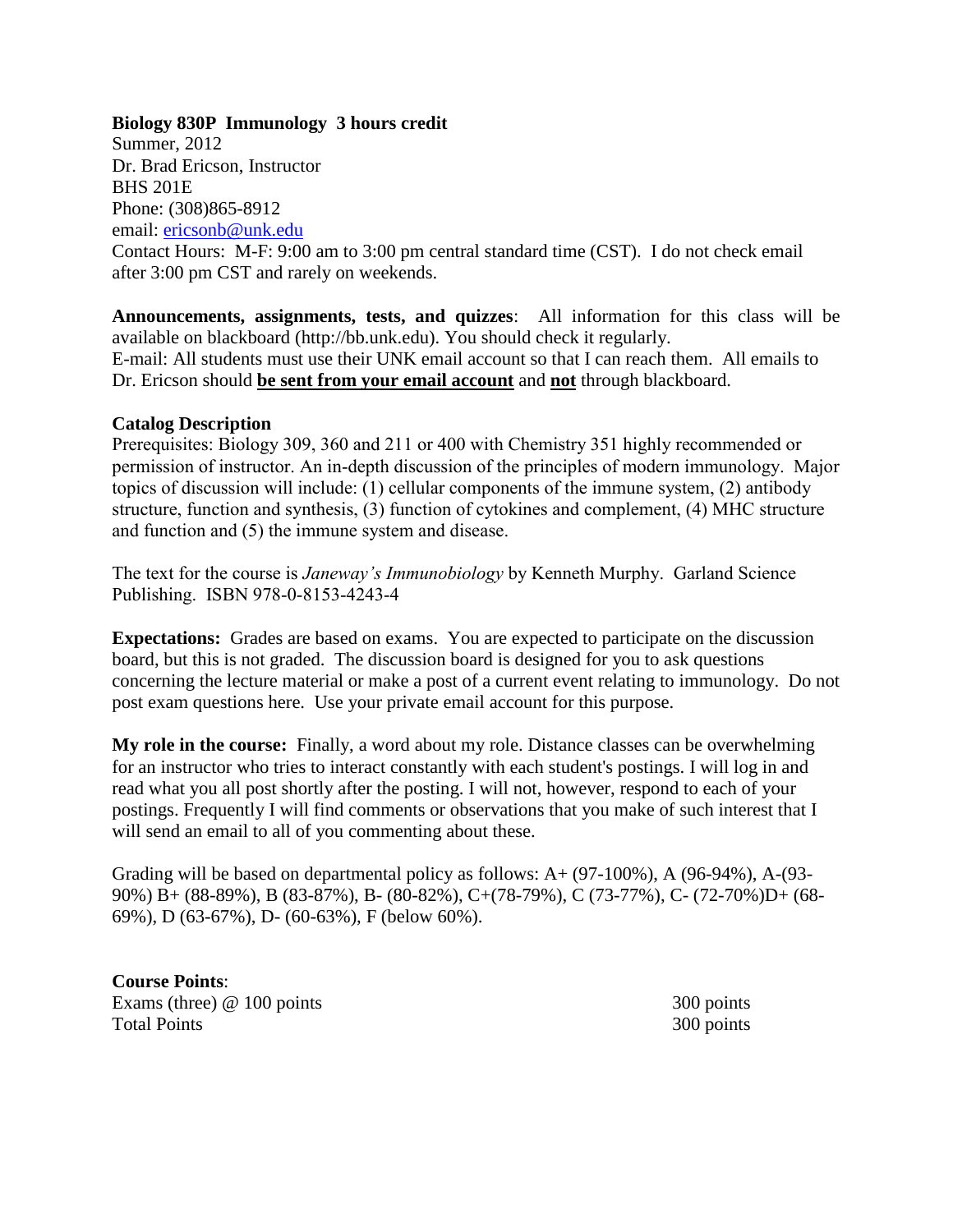## **Biology 830P Immunology 3 hours credit**

Summer, 2012 Dr. Brad Ericson, Instructor BHS 201E Phone: (308)865-8912 email: [ericsonb@unk.edu](mailto:ericsonb@unk.edu) Contact Hours: M-F: 9:00 am to 3:00 pm central standard time (CST). I do not check email after 3:00 pm CST and rarely on weekends.

**Announcements, assignments, tests, and quizzes**: All information for this class will be available on blackboard (http://bb.unk.edu). You should check it regularly. E-mail: All students must use their UNK email account so that I can reach them. All emails to Dr. Ericson should **be sent from your email account** and **not** through blackboard.

## **Catalog Description**

Prerequisites: Biology 309, 360 and 211 or 400 with Chemistry 351 highly recommended or permission of instructor. An in-depth discussion of the principles of modern immunology. Major topics of discussion will include: (1) cellular components of the immune system, (2) antibody structure, function and synthesis, (3) function of cytokines and complement, (4) MHC structure and function and (5) the immune system and disease.

The text for the course is *Janeway's Immunobiology* by Kenneth Murphy. Garland Science Publishing. ISBN 978-0-8153-4243-4

**Expectations:** Grades are based on exams. You are expected to participate on the discussion board, but this is not graded. The discussion board is designed for you to ask questions concerning the lecture material or make a post of a current event relating to immunology. Do not post exam questions here. Use your private email account for this purpose.

**My role in the course:** Finally, a word about my role. Distance classes can be overwhelming for an instructor who tries to interact constantly with each student's postings. I will log in and read what you all post shortly after the posting. I will not, however, respond to each of your postings. Frequently I will find comments or observations that you make of such interest that I will send an email to all of you commenting about these.

Grading will be based on departmental policy as follows:  $A + (97-100\%)$ , A  $(96-94\%)$ , A- $(93-$ 90%) B+ (88-89%), B (83-87%), B- (80-82%), C+(78-79%), C (73-77%), C- (72-70%)D+ (68- 69%), D (63-67%), D- (60-63%), F (below 60%).

**Course Points**: Exams (three) @ 100 points 300 points 300 points Total Points 300 points 300 points 300 points 300 points 300 points 300 points 300 points 300 points 300 points 300 points 300 points 300 points 300 points 300 points 300 points 300 points 300 points 300 points 300 points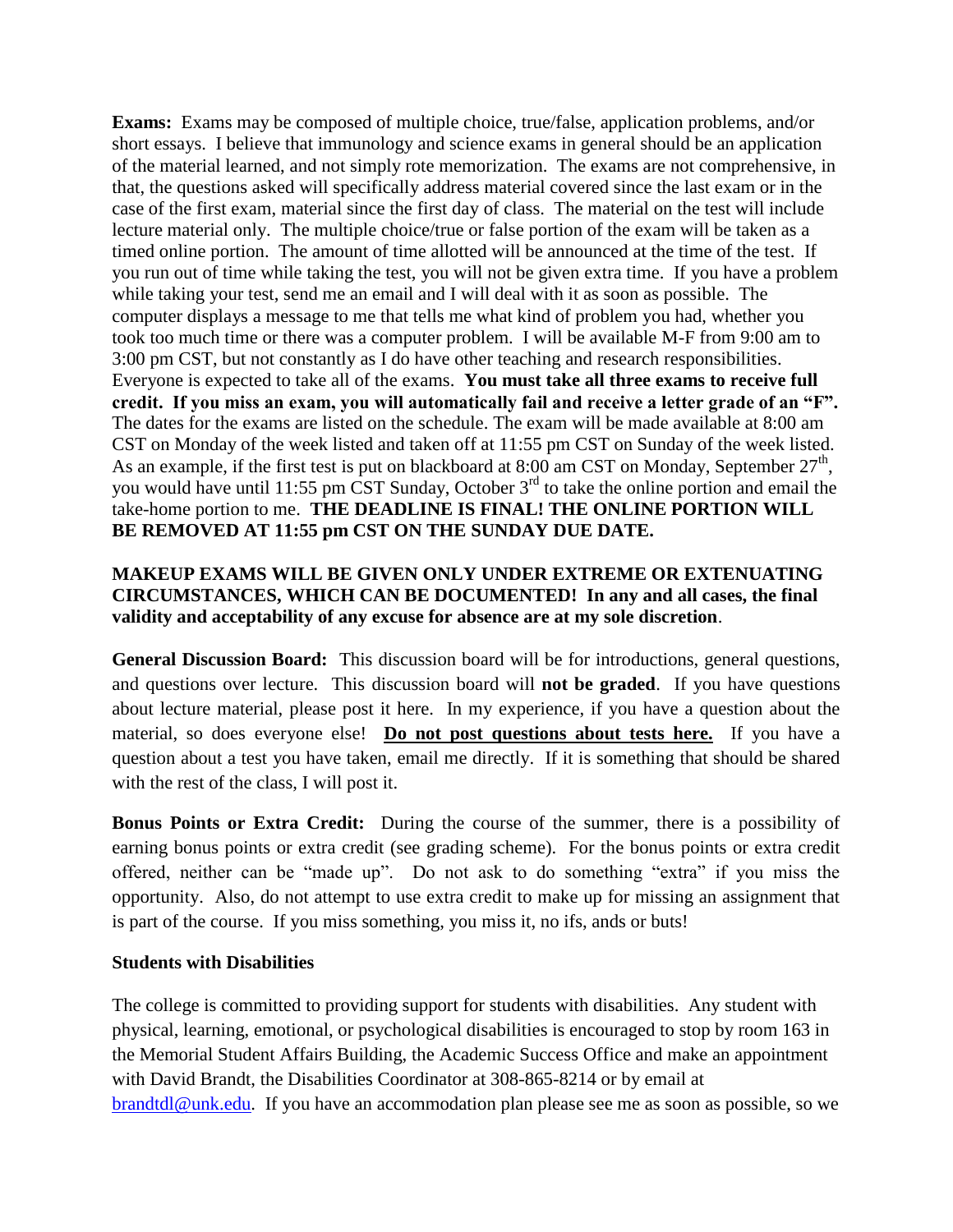**Exams:** Exams may be composed of multiple choice, true/false, application problems, and/or short essays. I believe that immunology and science exams in general should be an application of the material learned, and not simply rote memorization. The exams are not comprehensive, in that, the questions asked will specifically address material covered since the last exam or in the case of the first exam, material since the first day of class. The material on the test will include lecture material only. The multiple choice/true or false portion of the exam will be taken as a timed online portion. The amount of time allotted will be announced at the time of the test. If you run out of time while taking the test, you will not be given extra time. If you have a problem while taking your test, send me an email and I will deal with it as soon as possible. The computer displays a message to me that tells me what kind of problem you had, whether you took too much time or there was a computer problem. I will be available M-F from 9:00 am to 3:00 pm CST, but not constantly as I do have other teaching and research responsibilities. Everyone is expected to take all of the exams. **You must take all three exams to receive full credit. If you miss an exam, you will automatically fail and receive a letter grade of an "F".**  The dates for the exams are listed on the schedule. The exam will be made available at 8:00 am CST on Monday of the week listed and taken off at 11:55 pm CST on Sunday of the week listed. As an example, if the first test is put on blackboard at 8:00 am CST on Monday, September  $27<sup>th</sup>$ , you would have until 11:55 pm CST Sunday, October 3<sup>rd</sup> to take the online portion and email the take-home portion to me. **THE DEADLINE IS FINAL! THE ONLINE PORTION WILL BE REMOVED AT 11:55 pm CST ON THE SUNDAY DUE DATE.** 

## **MAKEUP EXAMS WILL BE GIVEN ONLY UNDER EXTREME OR EXTENUATING CIRCUMSTANCES, WHICH CAN BE DOCUMENTED! In any and all cases, the final validity and acceptability of any excuse for absence are at my sole discretion**.

**General Discussion Board:** This discussion board will be for introductions, general questions, and questions over lecture. This discussion board will **not be graded**. If you have questions about lecture material, please post it here. In my experience, if you have a question about the material, so does everyone else! **Do not post questions about tests here.** If you have a question about a test you have taken, email me directly. If it is something that should be shared with the rest of the class, I will post it.

**Bonus Points or Extra Credit:** During the course of the summer, there is a possibility of earning bonus points or extra credit (see grading scheme). For the bonus points or extra credit offered, neither can be "made up". Do not ask to do something "extra" if you miss the opportunity. Also, do not attempt to use extra credit to make up for missing an assignment that is part of the course. If you miss something, you miss it, no ifs, ands or buts!

## **Students with Disabilities**

The college is committed to providing support for students with disabilities. Any student with physical, learning, emotional, or psychological disabilities is encouraged to stop by room 163 in the Memorial Student Affairs Building, the Academic Success Office and make an appointment with David Brandt, the Disabilities Coordinator at 308-865-8214 or by email at [brandtdl@unk.edu.](mailto:brandtdl@unk.edu_) If you have an accommodation plan please see me as soon as possible, so we